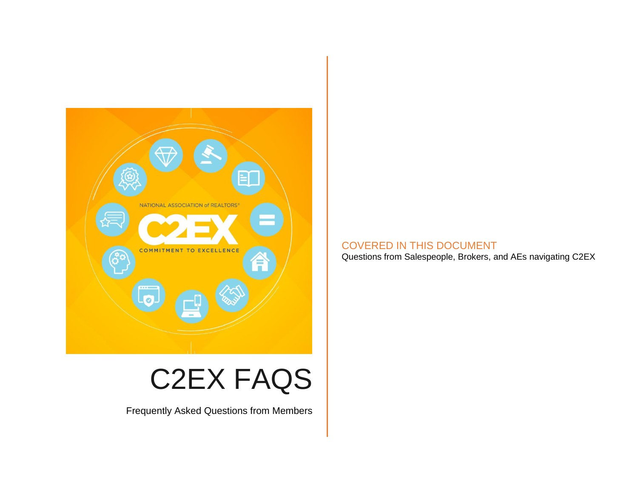

# C2EX FAQS

Frequently Asked Questions from Members

## COVERED IN THIS DOCUMENT

Questions from Salespeople, Brokers, and AEs navigating C2EX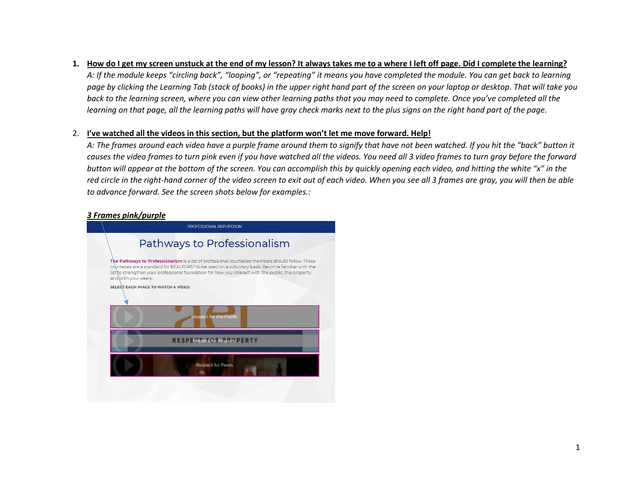#### **1. How do I get my screen unstuck at the end of my lesson? It always takes me to a where I left off page. Did I complete the learning?**

*A: If the module keeps "circling back", "looping", or "repeating" it means you have completed the module. You can get back to learning page by clicking the Learning Tab (stack of books) in the upper right hand part of the screen on your laptop or desktop. That will take you back to the learning screen, where you can view other learning paths that you may need to complete. Once you've completed all the learning on that page, all the learning paths will have gray check marks next to the plus signs on the right hand part of the page.*

#### 2. **I've watched all the videos in this section, but the platform won't let me move forward. Help!**

*A: The frames around each video have a purple frame around them to signify that have not been watched. If you hit the "back" button it causes the video frames to turn pink even if you have watched all the videos. You need all 3 video frames to turn gray before the forward button will appear at the bottom of the screen. You can accomplish this by quickly opening each video, and hitting the white "x" in the red circle in the right-hand corner of the video screen to exit out of each video. When you see all 3 frames are gray, you will then be able to advance forward. See the screen shots below for examples.:*

### *3 Frames pink/purple*

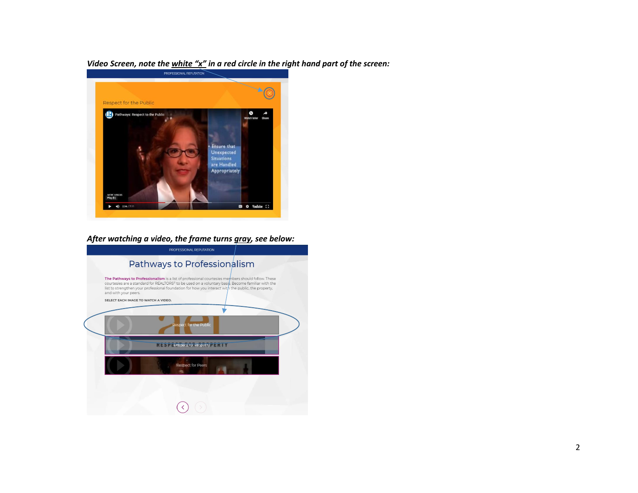*Video Screen, note the white "x" in a red circle in the right hand part of the screen:*



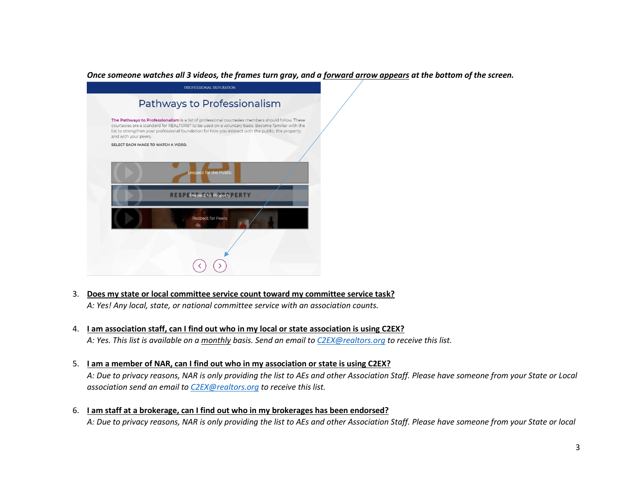#### *Once someone watches all 3 videos, the frames turn gray, and a forward arrow appears at the bottom of the screen.*



- 3. **Does my state or local committee service count toward my committee service task?** *A: Yes! Any local, state, or national committee service with an association counts.*
- 4. **I am association staff, can I find out who in my local or state association is using C2EX?** *A: Yes. This list is available on a monthly basis. Send an email t[o C2EX@realtors.org](mailto:C2EX@realtors.org) to receive this list.*
- 5. **I am a member of NAR, can I find out who in my association or state is using C2EX?**

*A: Due to privacy reasons, NAR is only providing the list to AEs and other Association Staff. Please have someone from your State or Local association send an email t[o C2EX@realtors.org](mailto:C2EX@realtors.org) to receive this list.*

6. **I am staff at a brokerage, can I find out who in my brokerages has been endorsed?** *A: Due to privacy reasons, NAR is only providing the list to AEs and other Association Staff. Please have someone from your State or local*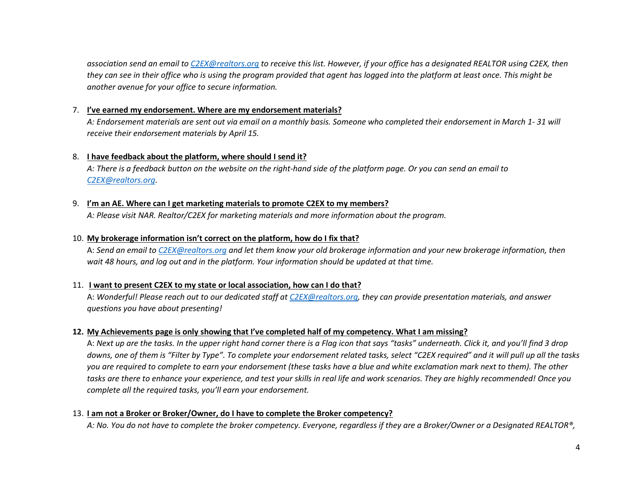*association send an email t[o C2EX@realtors.org](mailto:C2EX@realtors.org) to receive this list. However, if your office has a designated REALTOR using C2EX, then they can see in their office who is using the program provided that agent has logged into the platform at least once. This might be another avenue for your office to secure information.*

#### 7. **I've earned my endorsement. Where are my endorsement materials?**

*A: Endorsement materials are sent out via email on a monthly basis. Someone who completed their endorsement in March 1- 31 will receive their endorsement materials by April 15.*

#### 8. **I have feedback about the platform, where should I send it?**

*A: There is a feedback button on the website on the right-hand side of the platform page. Or you can send an email to [C2EX@realtors.org.](mailto:C2EX@realtors.org)*

#### 9. **I'm an AE. Where can I get marketing materials to promote C2EX to my members?**

*A: Please visit NAR. Realtor/C2EX for marketing materials and more information about the program.*

#### 10. **My brokerage information isn't correct on the platform, how do I fix that?**

A: *Send an email t[o C2EX@realtors.org](mailto:C2EX@realtors.org) and let them know your old brokerage information and your new brokerage information, then wait 48 hours, and log out and in the platform. Your information should be updated at that time.*

#### 11. **I want to present C2EX to my state or local association, how can I do that?**

A: *Wonderful! Please reach out to our dedicated staff a[t C2EX@realtors.org,](mailto:C2EX@realtors.org) they can provide presentation materials, and answer questions you have about presenting!*

#### **12. My Achievements page is only showing that I've completed half of my competency. What I am missing?**

A: *Next up are the tasks. In the upper right hand corner there is a Flag icon that says "tasks" underneath. Click it, and you'll find 3 drop downs, one of them is "Filter by Type". To complete your endorsement related tasks, select "C2EX required" and it will pull up all the tasks you are required to complete to earn your endorsement (these tasks have a blue and white exclamation mark next to them). The other tasks are there to enhance your experience, and test your skills in real life and work scenarios. They are highly recommended! Once you complete all the required tasks, you'll earn your endorsement.*

#### 13. **I am not a Broker or Broker/Owner, do I have to complete the Broker competency?**

*A: No. You do not have to complete the broker competency. Everyone, regardless if they are a Broker/Owner or a Designated REALTOR®,*